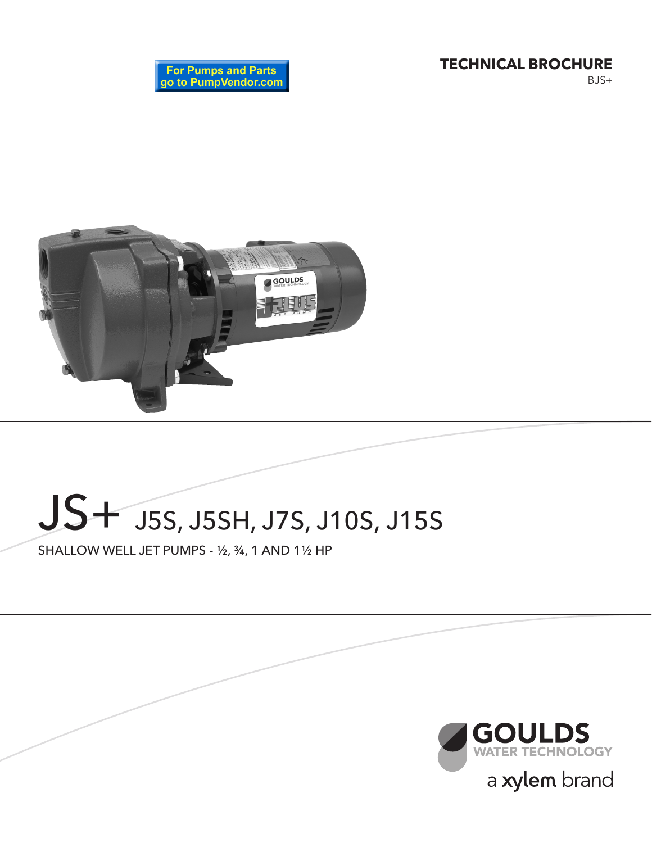**TECHNICAL BROCHURE**

BJS+





# JS+ J5S, J5SH, J7S, J10S, J15S

SHALLOW WELL JET PUMPS - ½, ¾, 1 AND 1½ HP

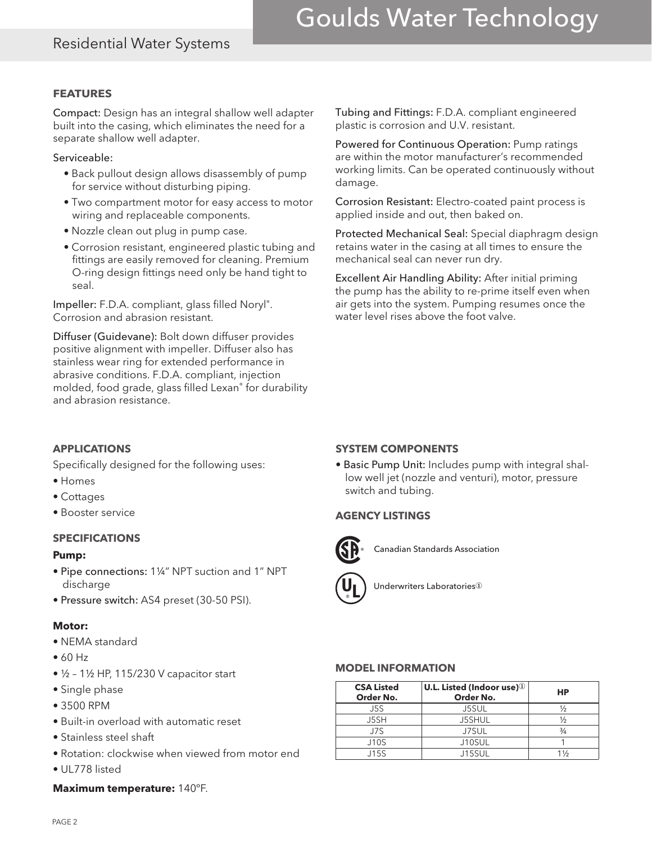### Residential Water Systems

# Goulds Water Technology

#### **FEATURES**

Compact: Design has an integral shallow well adapter built into the casing, which eliminates the need for a separate shallow well adapter.

Serviceable:

- Back pullout design allows disassembly of pump for service without disturbing piping.
- Two compartment motor for easy access to motor wiring and replaceable components.
- Nozzle clean out plug in pump case.
- Corrosion resistant, engineered plastic tubing and fittings are easily removed for cleaning. Premium O-ring design fittings need only be hand tight to seal.

Impeller: F.D.A. compliant, glass filled Noryl®. Corrosion and abrasion resistant.

Diffuser (Guidevane): Bolt down diffuser provides positive alignment with impeller. Diffuser also has stainless wear ring for extended performance in abrasive conditions. F.D.A. compliant, injection molded, food grade, glass filled Lexan® for durability and abrasion resistance.

Tubing and Fittings: F.D.A. compliant engineered plastic is corrosion and U.V. resistant.

Powered for Continuous Operation: Pump ratings are within the motor manufacturer's recommended working limits. Can be operated continuously without damage.

Corrosion Resistant: Electro-coated paint process is applied inside and out, then baked on.

Protected Mechanical Seal: Special diaphragm design retains water in the casing at all times to ensure the mechanical seal can never run dry.

Excellent Air Handling Ability: After initial priming the pump has the ability to re-prime itself even when air gets into the system. Pumping resumes once the water level rises above the foot valve.

#### **APPLICATIONS**

Specifically designed for the following uses:

- Homes
- Cottages
- Booster service

#### **SPECIFICATIONS**

#### **Pump:**

- Pipe connections: 1¼" NPT suction and 1" NPT discharge
- Pressure switch: AS4 preset (30-50 PSI).

#### **Motor:**

- NEMA standard
- 60 Hz
- ½ 1½ HP, 115/230 V capacitor start
- Single phase
- 3500 RPM
- Built-in overload with automatic reset
- Stainless steel shaft
- Rotation: clockwise when viewed from motor end
- UL778 listed

#### **Maximum temperature:** 140ºF.

#### **SYSTEM COMPONENTS**

• Basic Pump Unit: Includes pump with integral shallow well jet (nozzle and venturi), motor, pressure switch and tubing.

#### **AGENCY LISTINGS**



Canadian Standards Association



**Underwriters Laboratories**<sup>1</sup>

#### **MODEL INFORMATION**

| <b>CSA Listed</b><br>Order No. | $ $ U.L. Listed (Indoor use) $\textcircled{\scriptsize{1}}$<br>Order No. | НP            |  |  |  |
|--------------------------------|--------------------------------------------------------------------------|---------------|--|--|--|
| J5S                            | J5SUL                                                                    |               |  |  |  |
| J5SH                           | J5SHUL                                                                   | ⅓             |  |  |  |
| J7S                            | J7SUL                                                                    | $\frac{3}{4}$ |  |  |  |
| <b>J10S</b>                    | J10SUL                                                                   |               |  |  |  |
| J15S                           | J15SUL                                                                   | 1½            |  |  |  |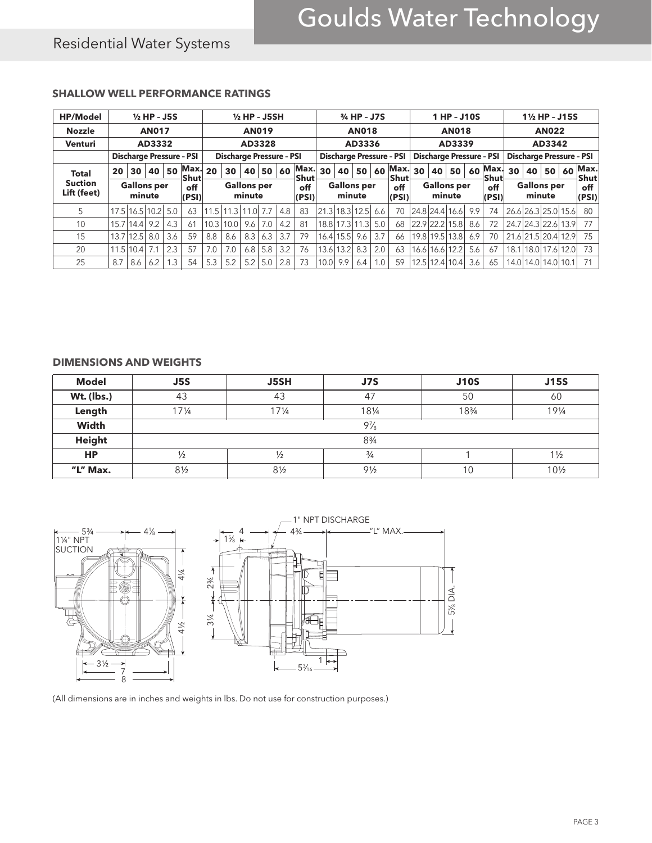## Residential Water Systems

#### **SHALLOW WELL PERFORMANCE RATINGS**

| <b>HP/Model</b>               | $\frac{1}{2}$ HP - J5S |                              |      |     |                                 |                                 | $1/2$ HP - J5SH |                              |       |              |                                 | 3/4 HP - J7S |                              |              |                                 | 1 HP - J10S  |                |                |                                 |     | 11/2 HP - J15S |      |    |                              |                     |              |
|-------------------------------|------------------------|------------------------------|------|-----|---------------------------------|---------------------------------|-----------------|------------------------------|-------|--------------|---------------------------------|--------------|------------------------------|--------------|---------------------------------|--------------|----------------|----------------|---------------------------------|-----|----------------|------|----|------------------------------|---------------------|--------------|
| <b>Nozzle</b>                 |                        | <b>AN017</b>                 |      |     |                                 | <b>AN019</b>                    |                 |                              |       | <b>AN018</b> |                                 |              |                              | <b>AN018</b> |                                 |              |                | <b>AN022</b>   |                                 |     |                |      |    |                              |                     |              |
| <b>Venturi</b>                |                        | AD3332                       |      |     |                                 | AD3328                          |                 |                              |       | AD3336       |                                 |              |                              | AD3339       |                                 |              |                | AD3342         |                                 |     |                |      |    |                              |                     |              |
|                               |                        |                              |      |     | <b>Discharge Pressure - PSI</b> | <b>Discharge Pressure - PSI</b> |                 |                              |       |              | <b>Discharge Pressure - PSI</b> |              |                              |              | <b>Discharge Pressure - PSI</b> |              |                |                | <b>Discharge Pressure - PSI</b> |     |                |      |    |                              |                     |              |
| <b>Total</b>                  | 20                     | 30                           | 40   | 50  | Max. 20<br>Shut                 |                                 | 30              |                              | 40 50 | 60           | Max.<br>Shut                    | 30           | 40 l                         | 50           | 60                              | Max.<br>Shut | 30             | 40             | 50                              | 60  | Max.<br>Shut   | 30   | 40 | 50                           | 60                  | Max.<br>Shut |
| <b>Suction</b><br>Lift (feet) |                        | <b>Gallons per</b><br>minute |      |     | off<br>(PSI)                    |                                 |                 | <b>Gallons per</b><br>minute |       |              | off<br>(PSI)                    |              | <b>Gallons per</b><br>minute |              |                                 | off<br>(PSI) |                |                | <b>Gallons per</b><br>minute    |     | off<br>(PSI)   |      |    | <b>Gallons per</b><br>minute |                     | off<br>(PSI) |
| 5                             | 17.5                   | 16.5                         | 10.2 | 5.0 | 63                              | 11.5                            | .3<br>11        | 1.01                         |       | 4.8          | 83                              |              | 21.3 18.3 12.5               |              | 6.6                             | 70           |                |                | 24.8 24.4 16.6                  | 9.9 | 74             |      |    |                              | 26.6 26.3 25.0 15.6 | 80           |
| 10                            | 15.7                   | 14.4                         | 9.2  | 4.3 | 61                              | 10.3                            | 10.0            | 9.6                          | 7.0   | 4.2          | 81                              |              | 18.8 17.3 11.3               |              | 5.0                             | 68           | 22.9 22.2 15.8 |                |                                 | 8.6 | 72             |      |    | 24.7 24.3 22.6               | 13.9                | 77           |
| 15                            | 13.7                   | 12.5                         | 8.0  | 3.6 | 59                              | 8.8                             | 8.6             | 8.3                          | 6.3   | 3.7          | 79                              | 16.41        | 15.5                         | 9.6          | 3.7                             | 66           | 19.8           |                | 19.5 13.8                       | 6.9 | 70             |      |    | 21.6 21.5 20.4               | 12.9                | 75           |
| 20                            | 11.5                   | 10.4                         |      | 2.3 | 57                              | 7.0                             | 7.0             | 6.8                          | 5.8   | 3.2          | 76                              |              | 13.6 13.2                    | 8.3          | 2.0                             | 63           |                | 16.6 16.6 12.2 |                                 | 5.6 | 67             | 18.1 |    | 18.0 17.6                    | 12.0                | 73           |
| 25                            | 8.7                    | 8.6                          | 6.2  | 1.3 | 54                              | 5.3                             | 5.2             | 5.2                          | 5.0   | 2.8          | 73                              | 10.0         | 9.9                          | 6.4          | 1.0                             | 59           | 12.5           |                | 12.4 10.4                       | 3.6 | 65             | 14.0 |    | 14.0 14.0 10.1               |                     | 71           |

#### **DIMENSIONS AND WEIGHTS**

| <b>Model</b>  | J5S             | <b>J5SH</b>     | J7S            | <b>J10S</b> | <b>J15S</b>     |  |  |  |
|---------------|-----------------|-----------------|----------------|-------------|-----------------|--|--|--|
| Wt. (lbs.)    | 43              | 43              | 47             | 50          | 60              |  |  |  |
| Length        | $17\frac{1}{4}$ | $17\frac{1}{4}$ | 191/4          |             |                 |  |  |  |
| Width         |                 |                 | $9\%$          |             |                 |  |  |  |
| <b>Height</b> |                 | $8\frac{3}{4}$  |                |             |                 |  |  |  |
| <b>HP</b>     | $\frac{1}{2}$   | $\frac{1}{2}$   | $\frac{3}{4}$  |             | $1\frac{1}{2}$  |  |  |  |
| "L" Max.      | $8\frac{1}{2}$  | $8\frac{1}{2}$  | $9\frac{1}{2}$ | 10          | $10\frac{1}{2}$ |  |  |  |



(All dimensions are in inches and weights in lbs. Do not use for construction purposes.)